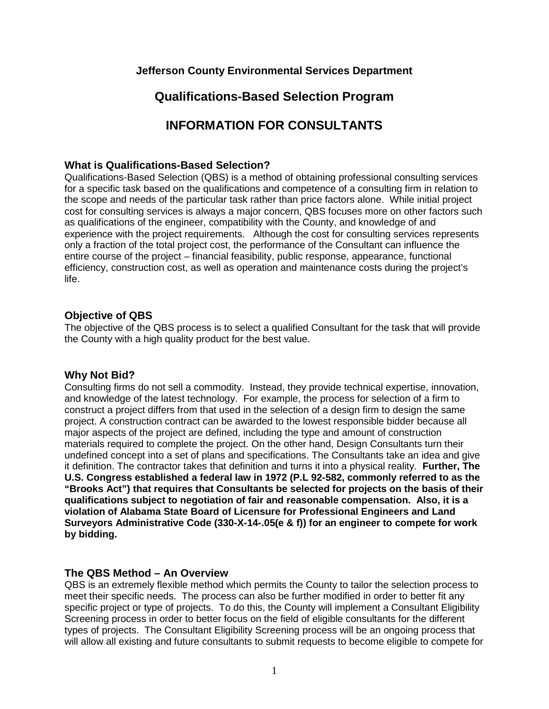### **Jefferson County Environmental Services Department**

# **Qualifications-Based Selection Program**

# **INFORMATION FOR CONSULTANTS**

#### **What is Qualifications-Based Selection?**

Qualifications-Based Selection (QBS) is a method of obtaining professional consulting services for a specific task based on the qualifications and competence of a consulting firm in relation to the scope and needs of the particular task rather than price factors alone. While initial project cost for consulting services is always a major concern, QBS focuses more on other factors such as qualifications of the engineer, compatibility with the County, and knowledge of and experience with the project requirements. Although the cost for consulting services represents only a fraction of the total project cost, the performance of the Consultant can influence the entire course of the project – financial feasibility, public response, appearance, functional efficiency, construction cost, as well as operation and maintenance costs during the project's life.

#### **Objective of QBS**

The objective of the QBS process is to select a qualified Consultant for the task that will provide the County with a high quality product for the best value.

#### **Why Not Bid?**

Consulting firms do not sell a commodity. Instead, they provide technical expertise, innovation, and knowledge of the latest technology. For example, the process for selection of a firm to construct a project differs from that used in the selection of a design firm to design the same project. A construction contract can be awarded to the lowest responsible bidder because all major aspects of the project are defined, including the type and amount of construction materials required to complete the project. On the other hand, Design Consultants turn their undefined concept into a set of plans and specifications. The Consultants take an idea and give it definition. The contractor takes that definition and turns it into a physical reality. **Further, The U.S. Congress established a federal law in 1972 (P.L 92-582, commonly referred to as the "Brooks Act") that requires that Consultants be selected for projects on the basis of their qualifications subject to negotiation of fair and reasonable compensation. Also, it is a violation of Alabama State Board of Licensure for Professional Engineers and Land Surveyors Administrative Code (330-X-14-.05(e & f)) for an engineer to compete for work by bidding.**

### **The QBS Method – An Overview**

QBS is an extremely flexible method which permits the County to tailor the selection process to meet their specific needs. The process can also be further modified in order to better fit any specific project or type of projects. To do this, the County will implement a Consultant Eligibility Screening process in order to better focus on the field of eligible consultants for the different types of projects. The Consultant Eligibility Screening process will be an ongoing process that will allow all existing and future consultants to submit requests to become eligible to compete for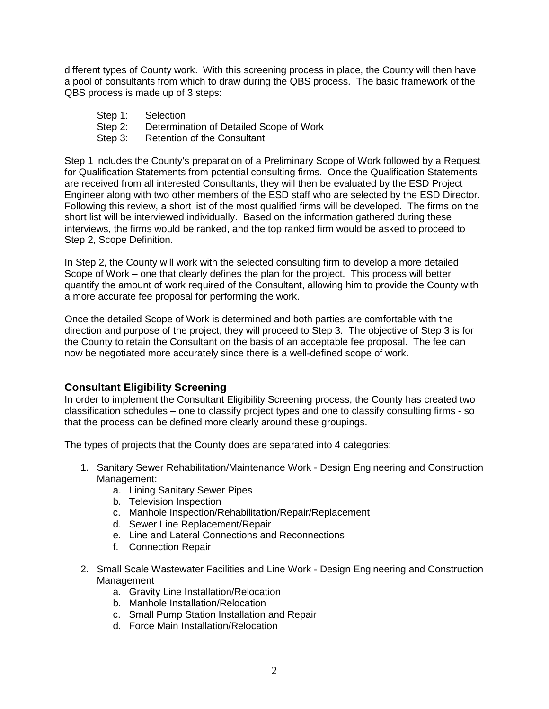different types of County work. With this screening process in place, the County will then have a pool of consultants from which to draw during the QBS process. The basic framework of the QBS process is made up of 3 steps:

- Step 1: Selection
- Step 2: Determination of Detailed Scope of Work
- Step 3: Retention of the Consultant

Step 1 includes the County's preparation of a Preliminary Scope of Work followed by a Request for Qualification Statements from potential consulting firms. Once the Qualification Statements are received from all interested Consultants, they will then be evaluated by the ESD Project Engineer along with two other members of the ESD staff who are selected by the ESD Director. Following this review, a short list of the most qualified firms will be developed. The firms on the short list will be interviewed individually. Based on the information gathered during these interviews, the firms would be ranked, and the top ranked firm would be asked to proceed to Step 2, Scope Definition.

In Step 2, the County will work with the selected consulting firm to develop a more detailed Scope of Work – one that clearly defines the plan for the project. This process will better quantify the amount of work required of the Consultant, allowing him to provide the County with a more accurate fee proposal for performing the work.

Once the detailed Scope of Work is determined and both parties are comfortable with the direction and purpose of the project, they will proceed to Step 3. The objective of Step 3 is for the County to retain the Consultant on the basis of an acceptable fee proposal. The fee can now be negotiated more accurately since there is a well-defined scope of work.

### **Consultant Eligibility Screening**

In order to implement the Consultant Eligibility Screening process, the County has created two classification schedules – one to classify project types and one to classify consulting firms - so that the process can be defined more clearly around these groupings.

The types of projects that the County does are separated into 4 categories:

- 1. Sanitary Sewer Rehabilitation/Maintenance Work Design Engineering and Construction Management:
	- a. Lining Sanitary Sewer Pipes
	- b. Television Inspection
	- c. Manhole Inspection/Rehabilitation/Repair/Replacement
	- d. Sewer Line Replacement/Repair
	- e. Line and Lateral Connections and Reconnections
	- f. Connection Repair
- 2. Small Scale Wastewater Facilities and Line Work Design Engineering and Construction **Management** 
	- a. Gravity Line Installation/Relocation
	- b. Manhole Installation/Relocation
	- c. Small Pump Station Installation and Repair
	- d. Force Main Installation/Relocation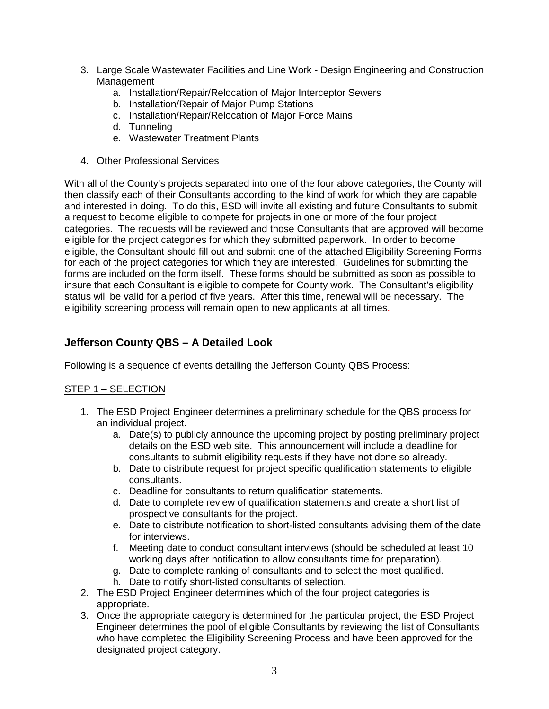- 3. Large Scale Wastewater Facilities and Line Work Design Engineering and Construction Management
	- a. Installation/Repair/Relocation of Major Interceptor Sewers
	- b. Installation/Repair of Major Pump Stations
	- c. Installation/Repair/Relocation of Major Force Mains
	- d. Tunneling
	- e. Wastewater Treatment Plants
- 4. Other Professional Services

With all of the County's projects separated into one of the four above categories, the County will then classify each of their Consultants according to the kind of work for which they are capable and interested in doing. To do this, ESD will invite all existing and future Consultants to submit a request to become eligible to compete for projects in one or more of the four project categories. The requests will be reviewed and those Consultants that are approved will become eligible for the project categories for which they submitted paperwork. In order to become eligible, the Consultant should fill out and submit one of the attached Eligibility Screening Forms for each of the project categories for which they are interested. Guidelines for submitting the forms are included on the form itself. These forms should be submitted as soon as possible to insure that each Consultant is eligible to compete for County work. The Consultant's eligibility status will be valid for a period of five years. After this time, renewal will be necessary. The eligibility screening process will remain open to new applicants at all times.

## **Jefferson County QBS – A Detailed Look**

Following is a sequence of events detailing the Jefferson County QBS Process:

### STEP 1 – SELECTION

- 1. The ESD Project Engineer determines a preliminary schedule for the QBS process for an individual project.
	- a. Date(s) to publicly announce the upcoming project by posting preliminary project details on the ESD web site. This announcement will include a deadline for consultants to submit eligibility requests if they have not done so already.
	- b. Date to distribute request for project specific qualification statements to eligible consultants.
	- c. Deadline for consultants to return qualification statements.
	- d. Date to complete review of qualification statements and create a short list of prospective consultants for the project.
	- e. Date to distribute notification to short-listed consultants advising them of the date for interviews.
	- f. Meeting date to conduct consultant interviews (should be scheduled at least 10 working days after notification to allow consultants time for preparation).
	- g. Date to complete ranking of consultants and to select the most qualified.
	- h. Date to notify short-listed consultants of selection.
- 2. The ESD Project Engineer determines which of the four project categories is appropriate.
- 3. Once the appropriate category is determined for the particular project, the ESD Project Engineer determines the pool of eligible Consultants by reviewing the list of Consultants who have completed the Eligibility Screening Process and have been approved for the designated project category.